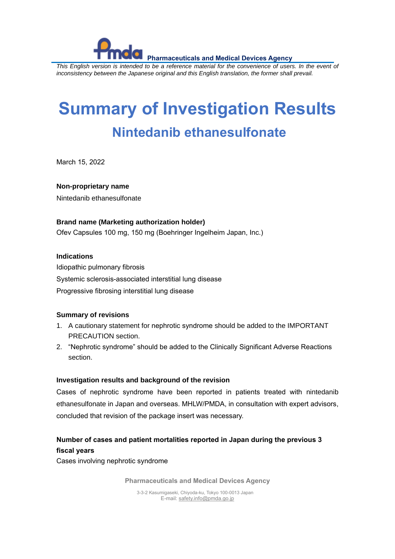

*This English version is intended to be a reference material for the convenience of users. In the event of inconsistency between the Japanese original and this English translation, the former shall prevail.*

# **Summary of Investigation Results Nintedanib ethanesulfonate**

March 15, 2022

## **Non-proprietary name**

Nintedanib ethanesulfonate

## **Brand name (Marketing authorization holder)**

Ofev Capsules 100 mg, 150 mg (Boehringer Ingelheim Japan, Inc.)

## **Indications**

Idiopathic pulmonary fibrosis Systemic sclerosis-associated interstitial lung disease Progressive fibrosing interstitial lung disease

#### **Summary of revisions**

- 1. A cautionary statement for nephrotic syndrome should be added to the IMPORTANT PRECAUTION section.
- 2. "Nephrotic syndrome" should be added to the Clinically Significant Adverse Reactions section.

#### **Investigation results and background of the revision**

Cases of nephrotic syndrome have been reported in patients treated with nintedanib ethanesulfonate in Japan and overseas. MHLW/PMDA, in consultation with expert advisors, concluded that revision of the package insert was necessary.

# **Number of cases and patient mortalities reported in Japan during the previous 3 fiscal years**

Cases involving nephrotic syndrome

**Pharmaceuticals and Medical Devices Agency**

3-3-2 Kasumigaseki, Chiyoda-ku, Tokyo 100-0013 Japan E-mail[: safety.info@pmda.go.jp](mailto:safety.info@pmda.go.jp)